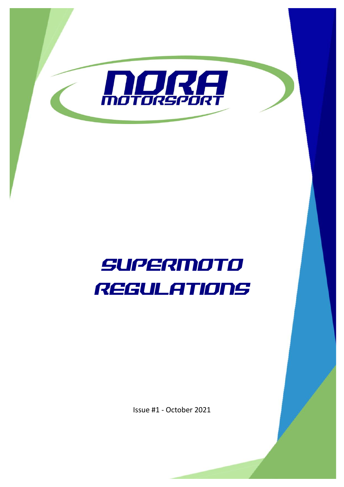

# SUPERmoTO REGULATIONS

Issue #1 - October 2021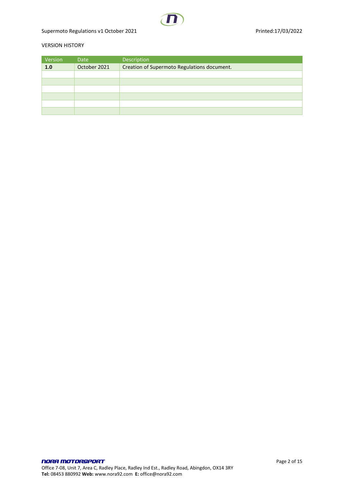Supermoto Regulations v1 October 2021 and the state of the Printed:17/03/2022

## VERSION HISTORY

| Version | Date         | Description                                 |
|---------|--------------|---------------------------------------------|
| 1.0     | October 2021 | Creation of Supermoto Regulations document. |
|         |              |                                             |
|         |              |                                             |
|         |              |                                             |
|         |              |                                             |
|         |              |                                             |
|         |              |                                             |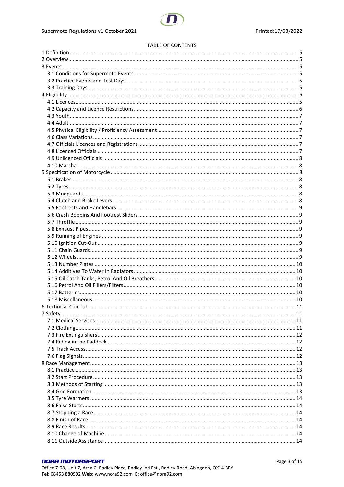#### TABLE OF CONTENTS

| 6 Technical Control |  |
|---------------------|--|
|                     |  |
|                     |  |
|                     |  |
|                     |  |
|                     |  |
|                     |  |
|                     |  |
|                     |  |
|                     |  |
|                     |  |
|                     |  |
|                     |  |
|                     |  |
|                     |  |
|                     |  |
|                     |  |
|                     |  |
|                     |  |
|                     |  |
|                     |  |

# **NORA MOTORSPORT**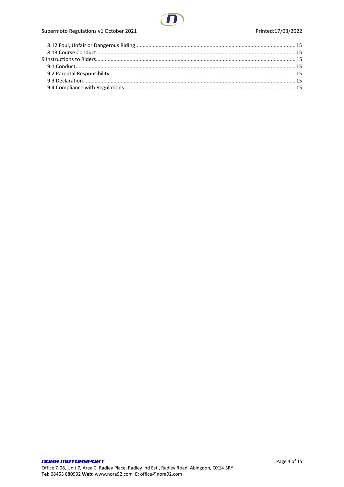

# Supermoto Regulations v1 October 2021

## Printed:17/03/2022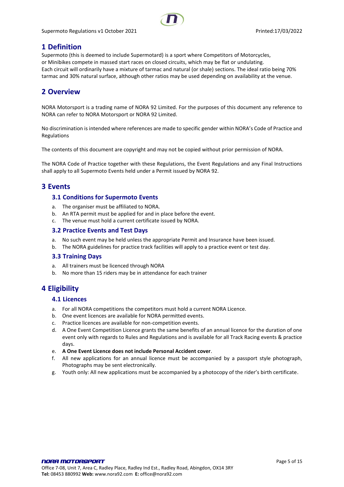Supermoto Regulations v1 October 2021 **Printed:17/03/2022** Printed:17/03/2022



# <span id="page-4-0"></span>**1 Definition**

Supermoto (this is deemed to include Supermotard) is a sport where Competitors of Motorcycles, or Minibikes compete in massed start races on closed circuits, which may be flat or undulating. Each circuit will ordinarily have a mixture of tarmac and natural (or shale) sections. The ideal ratio being 70% tarmac and 30% natural surface, although other ratios may be used depending on availability at the venue.

# <span id="page-4-1"></span>**2 Overview**

NORA Motorsport is a trading name of NORA 92 Limited. For the purposes of this document any reference to NORA can refer to NORA Motorsport or NORA 92 Limited.

No discrimination is intended where references are made to specific gender within NORA's Code of Practice and Regulations

The contents of this document are copyright and may not be copied without prior permission of NORA.

The NORA Code of Practice together with these Regulations, the Event Regulations and any Final Instructions shall apply to all Supermoto Events held under a Permit issued by NORA 92.

# <span id="page-4-3"></span><span id="page-4-2"></span>**3 Events**

# **3.1 Conditions for Supermoto Events**

- a. The organiser must be affiliated to NORA.
- b. An RTA permit must be applied for and in place before the event.
- c. The venue must hold a current certificate issued by NORA.

#### <span id="page-4-4"></span>**3.2 Practice Events and Test Days**

- a. No such event may be held unless the appropriate Permit and Insurance have been issued.
- b. The NORA guidelines for practice track facilities will apply to a practice event or test day.

#### <span id="page-4-5"></span>**3.3 Training Days**

- a. All trainers must be licenced through NORA
- b. No more than 15 riders may be in attendance for each trainer

# <span id="page-4-7"></span><span id="page-4-6"></span>**4 Eligibility**

#### **4.1 Licences**

- a. For all NORA competitions the competitors must hold a current NORA Licence.
- b. One event licences are available for NORA permitted events.
- c. Practice licences are available for non-competition events.
- d. A One Event Competition Licence grants the same benefits of an annual licence for the duration of one event only with regards to Rules and Regulations and is available for all Track Racing events & practice days.
- e. **A One Event Licence does not include Personal Accident cover**.
- f. All new applications for an annual licence must be accompanied by a passport style photograph, Photographs may be sent electronically.
- g. Youth only: All new applications must be accompanied by a photocopy of the rider's birth certificate.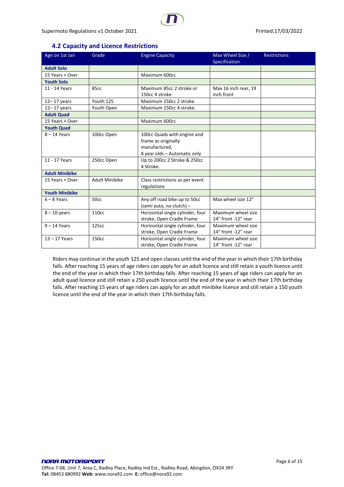# **4.2 Capacity and Licence Restrictions**

<span id="page-5-0"></span>

| Age on 1st Jan        | Grade                 | <b>Engine Capacity</b>           | Max Wheel Size /<br>Specification | <b>Restrictions</b> |
|-----------------------|-----------------------|----------------------------------|-----------------------------------|---------------------|
| <b>Adult Solo</b>     |                       |                                  |                                   |                     |
| 15 Years + Over       |                       | Maximum 600cc                    |                                   |                     |
| <b>Youth Solo</b>     |                       |                                  |                                   |                     |
| 11 - 14 Years         | 85cc                  | Maximum 85cc 2 stroke or         | Max 16 inch rear, 19              |                     |
|                       |                       | 150cc 4 stroke                   | inch front                        |                     |
| $12 - 17$ years       | Youth 125             | Maximum 150cc 2 stroke.          |                                   |                     |
| $12 - 17$ years       | Youth Open            | Maximum 150cc 4 stroke.          |                                   |                     |
| <b>Adult Quad</b>     |                       |                                  |                                   |                     |
| 15 Years + Over       |                       | Maximum 600cc                    |                                   |                     |
| <b>Youth Quad</b>     |                       |                                  |                                   |                     |
| $8 - 14$ Years        | 100cc Open            | 100cc Quads with engine and      |                                   |                     |
|                       |                       | frame as originally              |                                   |                     |
|                       |                       | manufactured,                    |                                   |                     |
|                       |                       | 8 year olds - Automatic only     |                                   |                     |
| 11 - 17 Years         | 250cc Open            | Up to 200cc 2 Stroke & 250cc     |                                   |                     |
|                       |                       | 4 Stroke.                        |                                   |                     |
| <b>Adult Minibike</b> |                       |                                  |                                   |                     |
| 15 Years + Over       | <b>Adult Minibike</b> | Class restrictions as per event  |                                   |                     |
|                       |                       | regulations                      |                                   |                     |
| <b>Youth Minibike</b> |                       |                                  |                                   |                     |
| $6 - 8$ Years         | 50cc                  | Any off road bike up to 50cc     | Max wheel size 12"                |                     |
|                       |                       | (semi auto, no clutch) -         |                                   |                     |
| $8 - 10$ years        | 110cc                 | Horizontal single cylinder, four | Maximum wheel size                |                     |
|                       |                       | stroke, Open Cradle Frame        | 14" front -12" rear               |                     |
| $9 - 14$ Years        | 125cc                 | Horizontal single cylinder, four | Maximum wheel size                |                     |
|                       |                       | stroke, Open Cradle Frame        | 14" front -12" rear               |                     |
| $13 - 17$ Years       | 150cc                 | Horizontal single cylinder, four | Maximum wheel size                |                     |
|                       |                       | stroke, Open Cradle Frame        | 14" front -12" rear               |                     |

Riders may continue in the youth 125 and open classes until the end of the year in which their 17th birthday falls. After reaching 15 years of age riders can apply for an adult licence and still retain a youth licence until the end of the year in which their 17th birthday falls. After reaching 15 years of age riders can apply for an adult quad licence and still retain a 250 youth licence until the end of the year in which their 17th birthday falls. After reaching 15 years of age riders can apply for an adult minibike licence and still retain a 150 youth licence until the end of the year in which their 17th birthday falls.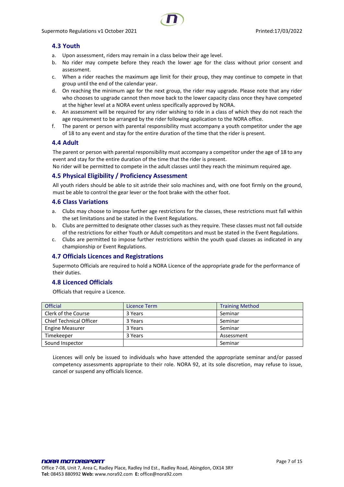# <span id="page-6-0"></span>**4.3 Youth**

- a. Upon assessment, riders may remain in a class below their age level.
- b. No rider may compete before they reach the lower age for the class without prior consent and assessment.
- c. When a rider reaches the maximum age limit for their group, they may continue to compete in that group until the end of the calendar year.
- d. On reaching the minimum age for the next group, the rider may upgrade. Please note that any rider who chooses to upgrade cannot then move back to the lower capacity class once they have competed at the higher level at a NORA event unless specifically approved by NORA.
- e. An assessment will be required for any rider wishing to ride in a class of which they do not reach the age requirement to be arranged by the rider following application to the NORA office.
- f. The parent or person with parental responsibility must accompany a youth competitor under the age of 18 to any event and stay for the entire duration of the time that the rider is present.

# <span id="page-6-1"></span>**4.4 Adult**

The parent or person with parental responsibility must accompany a competitor under the age of 18 to any event and stay for the entire duration of the time that the rider is present.

No rider will be permitted to compete in the adult classes until they reach the minimum required age.

# <span id="page-6-2"></span>**4.5 Physical Eligibility / Proficiency Assessment**

All youth riders should be able to sit astride their solo machines and, with one foot firmly on the ground, must be able to control the gear lever or the foot brake with the other foot.

#### <span id="page-6-3"></span>**4.6 Class Variations**

- a. Clubs may choose to impose further age restrictions for the classes, these restrictions must fall within the set limitations and be stated in the Event Regulations.
- b. Clubs are permitted to designate other classes such as they require. These classes must not fall outside of the restrictions for either Youth or Adult competitors and must be stated in the Event Regulations.
- c. Clubs are permitted to impose further restrictions within the youth quad classes as indicated in any championship or Event Regulations.

#### <span id="page-6-4"></span>**4.7 Officials Licences and Registrations**

Supermoto Officials are required to hold a NORA Licence of the appropriate grade for the performance of their duties.

# <span id="page-6-5"></span>**4.8 Licenced Officials**

Officials that require a Licence.

| <b>Official</b>         | Licence Term | <b>Training Method</b> |
|-------------------------|--------------|------------------------|
| Clerk of the Course     | 3 Years      | Seminar                |
| Chief Technical Officer | 3 Years      | Seminar                |
| <b>Engine Measurer</b>  | 3 Years      | Seminar                |
| Timekeeper              | 3 Years      | Assessment             |
| Sound Inspector         |              | Seminar                |

Licences will only be issued to individuals who have attended the appropriate seminar and/or passed competency assessments appropriate to their role. NORA 92, at its sole discretion, may refuse to issue, cancel or suspend any officials licence.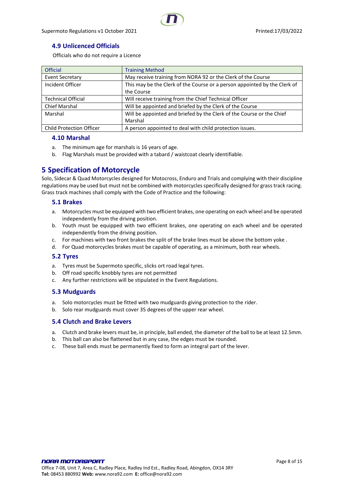# <span id="page-7-0"></span>**4.9 Unlicenced Officials**

Officials who do not require a Licence

| <b>Official</b>                 | <b>Training Method</b>                                                    |
|---------------------------------|---------------------------------------------------------------------------|
| <b>Event Secretary</b>          | May receive training from NORA 92 or the Clerk of the Course              |
| Incident Officer                | This may be the Clerk of the Course or a person appointed by the Clerk of |
|                                 | the Course                                                                |
| <b>Technical Official</b>       | Will receive training from the Chief Technical Officer                    |
| <b>Chief Marshal</b>            | Will be appointed and briefed by the Clerk of the Course                  |
| Marshal                         | Will be appointed and briefed by the Clerk of the Course or the Chief     |
|                                 | Marshal                                                                   |
| <b>Child Protection Officer</b> | A person appointed to deal with child protection issues.                  |

#### <span id="page-7-1"></span>**4.10 Marshal**

- a. The minimum age for marshals is 16 years of age.
- b. Flag Marshals must be provided with a tabard / waistcoat clearly identifiable.

# <span id="page-7-2"></span>**5 Specification of Motorcycle**

Solo, Sidecar & Quad Motorcycles designed for Motocross, Enduro and Trials and complying with their discipline regulations may be used but must not be combined with motorcycles specifically designed for grass track racing. Grass track machines shall comply with the Code of Practice and the following:

## <span id="page-7-3"></span>**5.1 Brakes**

- a. Motorcycles must be equipped with two efficient brakes, one operating on each wheel and be operated independently from the driving position.
- b. Youth must be equipped with two efficient brakes, one operating on each wheel and be operated independently from the driving position.
- c. For machines with two front brakes the split of the brake lines must be above the bottom yoke .
- d. For Quad motorcycles brakes must be capable of operating, as a minimum, both rear wheels.

#### <span id="page-7-4"></span>**5.2 Tyres**

- a. Tyres must be Supermoto specific, slicks ort road legal tyres.
- b. Off road specific knobbly tyres are not permitted
- c. Any further restrictions will be stipulated in the Event Regulations.

#### <span id="page-7-5"></span>**5.3 Mudguards**

- a. Solo motorcycles must be fitted with two mudguards giving protection to the rider.
- b. Solo rear mudguards must cover 35 degrees of the upper rear wheel.

#### <span id="page-7-6"></span>**5.4 Clutch and Brake Levers**

- a. Clutch and brake levers must be, in principle, ball ended, the diameter of the ball to be at least 12.5mm.
- b. This ball can also be flattened but in any case, the edges must be rounded.
- c. These ball ends must be permanently fixed to form an integral part of the lever.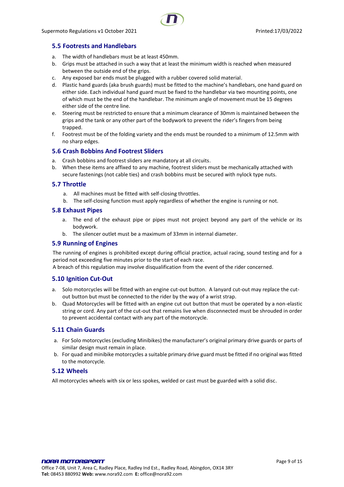# <span id="page-8-0"></span>**5.5 Footrests and Handlebars**

- a. The width of handlebars must be at least 450mm.
- b. Grips must be attached in such a way that at least the minimum width is reached when measured between the outside end of the grips.
- c. Any exposed bar ends must be plugged with a rubber covered solid material.
- d. Plastic hand guards (aka brush guards) must be fitted to the machine's handlebars, one hand guard on either side. Each individual hand guard must be fixed to the handlebar via two mounting points, one of which must be the end of the handlebar. The minimum angle of movement must be 15 degrees either side of the centre line.
- e. Steering must be restricted to ensure that a minimum clearance of 30mm is maintained between the grips and the tank or any other part of the bodywork to prevent the rider's fingers from being trapped.
- f. Footrest must be of the folding variety and the ends must be rounded to a minimum of 12.5mm with no sharp edges.

#### <span id="page-8-1"></span>**5.6 Crash Bobbins And Footrest Sliders**

- a. Crash bobbins and footrest sliders are mandatory at all circuits.
- b. When these items are affixed to any machine, footrest sliders must be mechanically attached with secure fastenings (not cable ties) and crash bobbins must be secured with nylock type nuts.

#### <span id="page-8-2"></span>**5.7 Throttle**

- a. All machines must be fitted with self-closing throttles.
- b. The self-closing function must apply regardless of whether the engine is running or not.

#### <span id="page-8-3"></span>**5.8 Exhaust Pipes**

- a. The end of the exhaust pipe or pipes must not project beyond any part of the vehicle or its bodywork.
- b. The silencer outlet must be a maximum of 33mm in internal diameter.

#### <span id="page-8-4"></span>**5.9 Running of Engines**

The running of engines is prohibited except during official practice, actual racing, sound testing and for a period not exceeding five minutes prior to the start of each race.

A breach of this regulation may involve disqualification from the event of the rider concerned.

#### <span id="page-8-5"></span>**5.10 Ignition Cut-Out**

- a. Solo motorcycles will be fitted with an engine cut-out button. A lanyard cut-out may replace the cutout button but must be connected to the rider by the way of a wrist strap.
- b. Quad Motorcycles will be fitted with an engine cut out button that must be operated by a non-elastic string or cord. Any part of the cut-out that remains live when disconnected must be shrouded in order to prevent accidental contact with any part of the motorcycle.

#### <span id="page-8-6"></span>**5.11 Chain Guards**

- a. For Solo motorcycles (excluding Minibikes) the manufacturer's original primary drive guards or parts of similar design must remain in place.
- b. For quad and minibike motorcycles a suitable primary drive guard must be fitted if no original was fitted to the motorcycle.

#### <span id="page-8-7"></span>**5.12 Wheels**

All motorcycles wheels with six or less spokes, welded or cast must be guarded with a solid disc.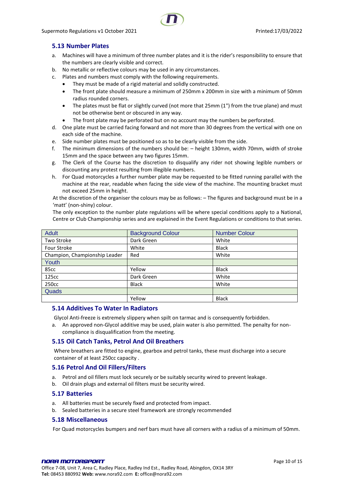# <span id="page-9-0"></span>**5.13 Number Plates**

- a. Machines will have a minimum of three number plates and it is the rider's responsibility to ensure that the numbers are clearly visible and correct.
- b. No metallic or reflective colours may be used in any circumstances.
- c. Plates and numbers must comply with the following requirements.
	- They must be made of a rigid material and solidly constructed.
	- The front plate should measure a minimum of 250mm x 200mm in size with a minimum of 50mm radius rounded corners.
	- The plates must be flat or slightly curved (not more that 25mm (1") from the true plane) and must not be otherwise bent or obscured in any way.
		- The front plate may be perforated but on no account may the numbers be perforated.
- d. One plate must be carried facing forward and not more than 30 degrees from the vertical with one on each side of the machine.
- e. Side number plates must be positioned so as to be clearly visible from the side.
- f. The minimum dimensions of the numbers should be: height 130mm, width 70mm, width of stroke 15mm and the space between any two figures 15mm.
- g. The Clerk of the Course has the discretion to disqualify any rider not showing legible numbers or discounting any protest resulting from illegible numbers.
- h. For Quad motorcycles a further number plate may be requested to be fitted running parallel with the machine at the rear, readable when facing the side view of the machine. The mounting bracket must not exceed 25mm in height.

At the discretion of the organiser the colours may be as follows: – The figures and background must be in a 'matt' (non-shiny) colour.

The only exception to the number plate regulations will be where special conditions apply to a National, Centre or Club Championship series and are explained in the Event Regulations or conditions to that series.

| <b>Adult</b>                  | <b>Background Colour</b> | <b>Number Colour</b> |
|-------------------------------|--------------------------|----------------------|
| Two Stroke                    | Dark Green               | White                |
| Four Stroke                   | White                    | <b>Black</b>         |
| Champion, Championship Leader | Red                      | White                |
| Youth                         |                          |                      |
| 85cc                          | Yellow                   | <b>Black</b>         |
| 125cc                         | Dark Green               | White                |
| 250cc                         | <b>Black</b>             | White                |
| Quads                         |                          |                      |
|                               | Yellow                   | <b>Black</b>         |

#### <span id="page-9-1"></span>**5.14 Additives To Water In Radiators**

Glycol Anti-freeze is extremely slippery when spilt on tarmac and is consequently forbidden.

a. An approved non-Glycol additive may be used, plain water is also permitted. The penalty for noncompliance is disqualification from the meeting.

#### <span id="page-9-2"></span>**5.15 Oil Catch Tanks, Petrol And Oil Breathers**

Where breathers are fitted to engine, gearbox and petrol tanks, these must discharge into a secure container of at least 250cc capacity .

#### <span id="page-9-3"></span>**5.16 Petrol And Oil Fillers/Filters**

- a. Petrol and oil fillers must lock securely or be suitably security wired to prevent leakage.
- b. Oil drain plugs and external oil filters must be security wired.

#### <span id="page-9-4"></span>**5.17 Batteries**

- a. All batteries must be securely fixed and protected from impact.
- b. Sealed batteries in a secure steel framework are strongly recommended

# <span id="page-9-5"></span>**5.18 Miscellaneous**

For Quad motorcycles bumpers and nerf bars must have all corners with a radius of a minimum of 50mm.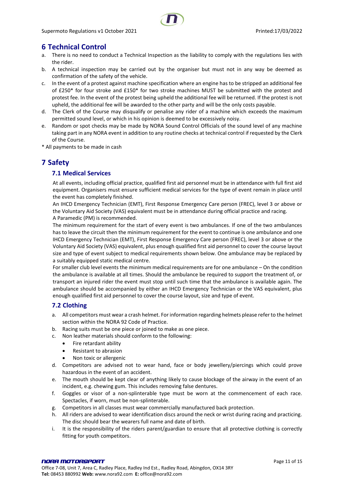# <span id="page-10-0"></span>**6 Technical Control**

- a. There is no need to conduct a Technical Inspection as the liability to comply with the regulations lies with the rider.
- b. A technical inspection may be carried out by the organiser but must not in any way be deemed as confirmation of the safety of the vehicle.
- c. In the event of a protest against machine specification where an engine has to be stripped an additional fee of £250\* for four stroke and £150\* for two stroke machines MUST be submitted with the protest and protest fee. In the event of the protest being upheld the additional fee will be returned. If the protest is not upheld, the additional fee will be awarded to the other party and will be the only costs payable.
- d. The Clerk of the Course may disqualify or penalise any rider of a machine which exceeds the maximum permitted sound level, or which in his opinion is deemed to be excessively noisy.
- e. Random or spot checks may be made by NORA Sound Control Officials of the sound level of any machine taking part in any NORA event in addition to any routine checks at technical control if requested by the Clerk of the Course.
- <span id="page-10-1"></span>\* All payments to be made in cash

# <span id="page-10-2"></span>**7 Safety**

# **7.1 Medical Services**

At all events, including official practice, qualified first aid personnel must be in attendance with full first aid equipment. Organisers must ensure sufficient medical services for the type of event remain in place until the event has completely finished.

An IHCD Emergency Technician (EMT), First Response Emergency Care person (FREC), level 3 or above or the Voluntary Aid Society (VAS) equivalent must be in attendance during official practice and racing. A Paramedic (PM) is recommended.

The minimum requirement for the start of every event is two ambulances. If one of the two ambulances has to leave the circuit then the minimum requirement for the event to continue is one ambulance and one IHCD Emergency Technician (EMT), First Response Emergency Care person (FREC), level 3 or above or the Voluntary Aid Society (VAS) equivalent, plus enough qualified first aid personnel to cover the course layout size and type of event subject to medical requirements shown below. One ambulance may be replaced by a suitably equipped static medical centre.

For smaller club level events the minimum medical requirements are for one ambulance – On the condition the ambulance is available at all times. Should the ambulance be required to support the treatment of, or transport an injured rider the event must stop until such time that the ambulance is available again. The ambulance should be accompanied by either an IHCD Emergency Technician or the VAS equivalent, plus enough qualified first aid personnel to cover the course layout, size and type of event.

# <span id="page-10-3"></span>**7.2 Clothing**

- a. All competitors must wear a crash helmet. For information regarding helmets please refer to the helmet section within the NORA 92 Code of Practice.
- b. Racing suits must be one piece or joined to make as one piece.
- c. Non leather materials should conform to the following:
	- Fire retardant ability
	- Resistant to abrasion
	- Non toxic or allergenic
- d. Competitors are advised not to wear hand, face or body jewellery/piercings which could prove hazardous in the event of an accident.
- e. The mouth should be kept clear of anything likely to cause blockage of the airway in the event of an incident, e.g. chewing gum. This includes removing false dentures.
- f. Goggles or visor of a non-splinterable type must be worn at the commencement of each race. Spectacles, if worn, must be non-splinterable.
- g. Competitors in all classes must wear commercially manufactured back protection.
- h. All riders are advised to wear identification discs around the neck or wrist during racing and practicing. The disc should bear the wearers full name and date of birth.
- i. It is the responsibility of the riders parent/guardian to ensure that all protective clothing is correctly fitting for youth competitors.

#### NORA MOTORSPORT Office 7-08, Unit 7, Area C, Radley Place, Radley Ind Est., Radley Road, Abingdon, OX14 3RY **Tel:** 08453 880992 **Web:** www.nora92.com **E:** office@nora92.com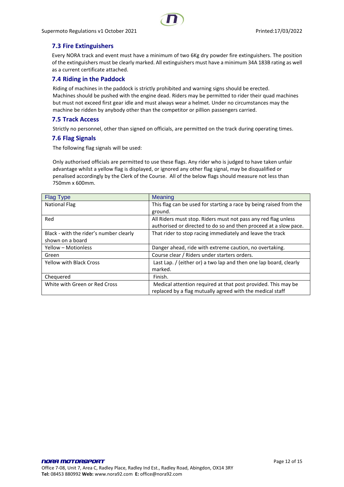# <span id="page-11-0"></span>**7.3 Fire Extinguishers**

Every NORA track and event must have a minimum of two 6Kg dry powder fire extinguishers. The position of the extinguishers must be clearly marked. All extinguishers must have a minimum 34A 183B rating as well as a current certificate attached.

## <span id="page-11-1"></span>**7.4 Riding in the Paddock**

Riding of machines in the paddock is strictly prohibited and warning signs should be erected. Machines should be pushed with the engine dead. Riders may be permitted to rider their quad machines but must not exceed first gear idle and must always wear a helmet. Under no circumstances may the machine be ridden by anybody other than the competitor or pillion passengers carried.

## <span id="page-11-2"></span>**7.5 Track Access**

Strictly no personnel, other than signed on officials, are permitted on the track during operating times.

## <span id="page-11-3"></span>**7.6 Flag Signals**

The following flag signals will be used:

Only authorised officials are permitted to use these flags. Any rider who is judged to have taken unfair advantage whilst a yellow flag is displayed, or ignored any other flag signal, may be disqualified or penalised accordingly by the Clerk of the Course. All of the below flags should measure not less than 750mm x 600mm.

| <b>Flag Type</b>                        | Meaning                                                            |
|-----------------------------------------|--------------------------------------------------------------------|
| <b>National Flag</b>                    | This flag can be used for starting a race by being raised from the |
|                                         | ground.                                                            |
| Red                                     | All Riders must stop. Riders must not pass any red flag unless     |
|                                         | authorised or directed to do so and then proceed at a slow pace.   |
| Black - with the rider's number clearly | That rider to stop racing immediately and leave the track          |
| shown on a board                        |                                                                    |
| Yellow - Motionless                     | Danger ahead, ride with extreme caution, no overtaking.            |
| Green                                   | Course clear / Riders under starters orders.                       |
| <b>Yellow with Black Cross</b>          | Last Lap. / (either or) a two lap and then one lap board, clearly  |
|                                         | marked.                                                            |
| Chequered                               | Finish.                                                            |
| White with Green or Red Cross           | Medical attention required at that post provided. This may be      |
|                                         |                                                                    |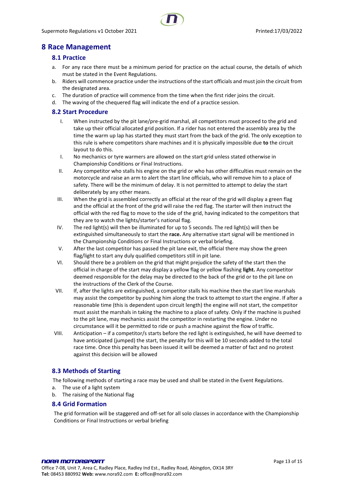# <span id="page-12-1"></span><span id="page-12-0"></span>**8 Race Management**

## **8.1 Practice**

- a. For any race there must be a minimum period for practice on the actual course, the details of which must be stated in the Event Regulations.
- b. Riders will commence practice under the instructions of the start officials and must join the circuit from the designated area.
- c. The duration of practice will commence from the time when the first rider joins the circuit.
- d. The waving of the chequered flag will indicate the end of a practice session.

# <span id="page-12-2"></span>**8.2 Start Procedure**

- I. When instructed by the pit lane/pre-grid marshal, all competitors must proceed to the grid and take up their official allocated grid position. If a rider has not entered the assembly area by the time the warm up lap has started they must start from the back of the grid. The only exception to this rule is where competitors share machines and it is physically impossible due **to** the circuit layout to do this.
- I. No mechanics or tyre warmers are allowed on the start grid unless stated otherwise in Championship Conditions or Final Instructions.
- II. Any competitor who stalls his engine on the grid or who has other difficulties must remain on the motorcycle and raise an arm to alert the start line officials, who will remove him to a place of safety. There will be the minimum of delay. It is not permitted to attempt to delay the start deliberately by any other means.
- III. When the grid is assembled correctly an official at the rear of the grid will display a green flag and the official at the front of the grid will raise the red flag. The starter will then instruct the official with the red flag to move to the side of the grid, having indicated to the competitors that they are to watch the lights/starter's national flag.
- IV. The red light(s) will then be illuminated for up to 5 seconds. The red light(s) will then be extinguished simultaneously to start the **race.** Any alternative start signal will be mentioned in the Championship Conditions or Final Instructions or verbal briefing.
- V. After the last competitor has passed the pit lane exit, the official there may show the green flag/light to start any duly qualified competitors still in pit lane.
- VI. Should there be a problem on the grid that might prejudice the safety of the start then the official in charge of the start may display a yellow flag or yellow flashing **light.** Any competitor deemed responsible for the delay may be directed to the back of the grid or to the pit lane on the instructions of the Clerk of the Course.
- VII. If, after the lights are extinguished, a competitor stalls his machine then the start line marshals may assist the competitor by pushing him along the track to attempt to start the engine. If after a reasonable time (this is dependent upon circuit length) the engine will not start, the competitor must assist the marshals in taking the machine to a place of safety. Only if the machine is pushed to the pit lane, may mechanics assist the competitor in restarting the engine. Under no circumstance will it be permitted to ride or push a machine against the flow of traffic.
- VIII. Anticipation if a competitor/s starts before the red light is extinguished, he will have deemed to have anticipated (jumped) the start, the penalty for this will be 10 seconds added to the total race time. Once this penalty has been issued it will be deemed a matter of fact and no protest against this decision will be allowed

# <span id="page-12-3"></span>**8.3 Methods of Starting**

The following methods of starting a race may be used and shall be stated in the Event Regulations.

- a. The use of a light system
- b. The raising of the National flag

#### <span id="page-12-4"></span>**8.4 Grid Formation**

The grid formation will be staggered and off-set for all solo classes in accordance with the Championship Conditions or Final Instructions or verbal briefing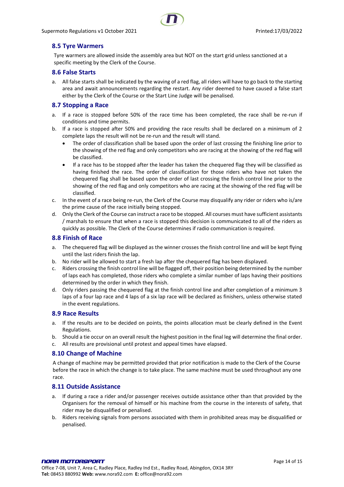# <span id="page-13-0"></span>**8.5 Tyre Warmers**

Tyre warmers are allowed inside the assembly area but NOT on the start grid unless sanctioned at a specific meeting by the Clerk of the Course.

#### <span id="page-13-1"></span>**8.6 False Starts**

a. All false starts shall be indicated by the waving of a red flag, all riders will have to go back to the starting area and await announcements regarding the restart. Any rider deemed to have caused a false start either by the Clerk of the Course or the Start Line Judge will be penalised.

#### <span id="page-13-2"></span>**8.7 Stopping a Race**

- a. If a race is stopped before 50% of the race time has been completed, the race shall be re-run if conditions and time permits.
- b. If a race is stopped after 50% and providing the race results shall be declared on a minimum of 2 complete laps the result will not be re-run and the result will stand.
	- The order of classification shall be based upon the order of last crossing the finishing line prior to the showing of the red flag and only competitors who are racing at the showing of the red flag will be classified.
	- If a race has to be stopped after the leader has taken the chequered flag they will be classified as having finished the race. The order of classification for those riders who have not taken the chequered flag shall be based upon the order of last crossing the finish control line prior to the showing of the red flag and only competitors who are racing at the showing of the red flag will be classified.
- c. In the event of a race being re-run, the Clerk of the Course may disqualify any rider or riders who is/are the prime cause of the race initially being stopped.
- d. Only the Clerk of the Course can instruct a race to be stopped. All courses must have sufficient assistants / marshals to ensure that when a race is stopped this decision is communicated to all of the riders as quickly as possible. The Clerk of the Course determines if radio communication is required.

#### <span id="page-13-3"></span>**8.8 Finish of Race**

- a. The chequered flag will be displayed as the winner crosses the finish control line and will be kept flying until the last riders finish the lap.
- b. No rider will be allowed to start a fresh lap after the chequered flag has been displayed.
- c. Riders crossing the finish control line will be flagged off, their position being determined by the number of laps each has completed, those riders who complete a similar number of laps having their positions determined by the order in which they finish.
- d. Only riders passing the chequered flag at the finish control line and after completion of a minimum 3 laps of a four lap race and 4 laps of a six lap race will be declared as finishers, unless otherwise stated in the event regulations.

#### <span id="page-13-4"></span>**8.9 Race Results**

- a. If the results are to be decided on points, the points allocation must be clearly defined in the Event Regulations.
- b. Should a tie occur on an overall result the highest position in the final leg will determine the final order.
- c. All results are provisional until protest and appeal times have elapsed.

#### <span id="page-13-5"></span>**8.10 Change of Machine**

A change of machine may be permitted provided that prior notification is made to the Clerk of the Course before the race in which the change is to take place. The same machine must be used throughout any one race.

#### <span id="page-13-6"></span>**8.11 Outside Assistance**

- a. If during a race a rider and/or passenger receives outside assistance other than that provided by the Organisers for the removal of himself or his machine from the course in the interests of safety, that rider may be disqualified or penalised.
- b. Riders receiving signals from persons associated with them in prohibited areas may be disqualified or penalised.